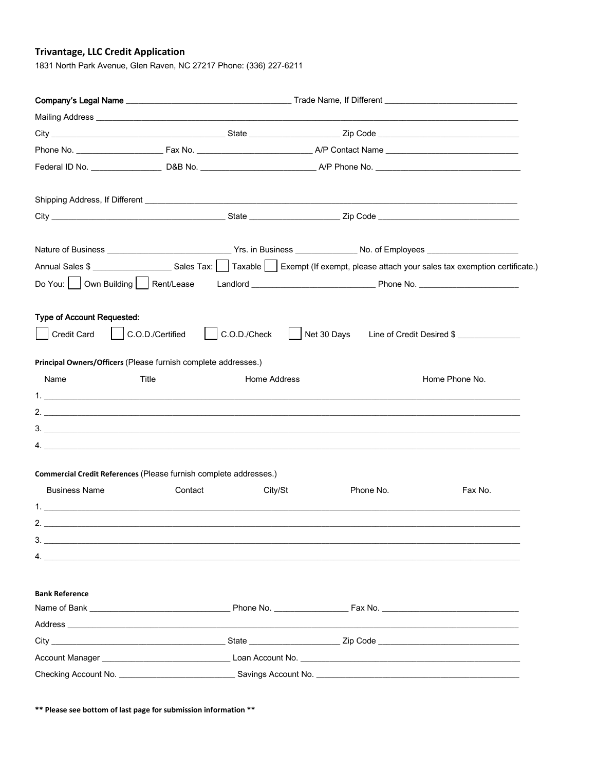## **Trivantage, LLC Credit Application**

1831 North Park Avenue, Glen Raven, NC 27217 Phone: (336) 227-6211

|                                                                   |                  |              |             | Company's Legal Name <b>Company's Legal Name</b> and Company's Legal Name and Company's Legal Name and Company's Legal Name and Company's Legal Name and Company's Legal Name and Company's Legal Name and Company's Legal Order of |
|-------------------------------------------------------------------|------------------|--------------|-------------|-------------------------------------------------------------------------------------------------------------------------------------------------------------------------------------------------------------------------------------|
|                                                                   |                  |              |             |                                                                                                                                                                                                                                     |
|                                                                   |                  |              |             |                                                                                                                                                                                                                                     |
|                                                                   |                  |              |             |                                                                                                                                                                                                                                     |
|                                                                   |                  |              |             |                                                                                                                                                                                                                                     |
|                                                                   |                  |              |             |                                                                                                                                                                                                                                     |
|                                                                   |                  |              |             |                                                                                                                                                                                                                                     |
|                                                                   |                  |              |             |                                                                                                                                                                                                                                     |
|                                                                   |                  |              |             | Annual Sales \$ ______________________Sales Tax:     Taxable     Exempt (If exempt, please attach your sales tax exemption certificate.)                                                                                            |
|                                                                   |                  |              |             |                                                                                                                                                                                                                                     |
| Type of Account Requested:                                        |                  |              |             |                                                                                                                                                                                                                                     |
| Credit Card                                                       | C.O.D./Certified | C.O.D./Check | Net 30 Days | Line of Credit Desired \$                                                                                                                                                                                                           |
| Principal Owners/Officers (Please furnish complete addresses.)    |                  |              |             |                                                                                                                                                                                                                                     |
| Name                                                              | Title            | Home Address |             | Home Phone No.                                                                                                                                                                                                                      |
|                                                                   |                  |              |             |                                                                                                                                                                                                                                     |
|                                                                   |                  |              |             |                                                                                                                                                                                                                                     |
|                                                                   |                  |              |             |                                                                                                                                                                                                                                     |
|                                                                   |                  |              |             |                                                                                                                                                                                                                                     |
| Commercial Credit References (Please furnish complete addresses.) |                  |              |             |                                                                                                                                                                                                                                     |
| <b>Business Name</b>                                              | Contact          | City/St      | Phone No.   | Fax No.                                                                                                                                                                                                                             |
|                                                                   |                  |              |             |                                                                                                                                                                                                                                     |
| 2.                                                                |                  |              |             |                                                                                                                                                                                                                                     |
| 3.                                                                |                  |              |             |                                                                                                                                                                                                                                     |
| $\overline{4}$ .                                                  |                  |              |             |                                                                                                                                                                                                                                     |
| <b>Bank Reference</b>                                             |                  |              |             |                                                                                                                                                                                                                                     |
|                                                                   |                  |              |             |                                                                                                                                                                                                                                     |
|                                                                   |                  |              |             |                                                                                                                                                                                                                                     |
|                                                                   |                  |              |             |                                                                                                                                                                                                                                     |
|                                                                   |                  |              |             |                                                                                                                                                                                                                                     |
|                                                                   |                  |              |             | Checking Account No. <b>Example 2018</b> Savings Account No. <b>Savings Account No.</b> 2018.                                                                                                                                       |

\*\* Please see bottom of last page for submission information \*\*